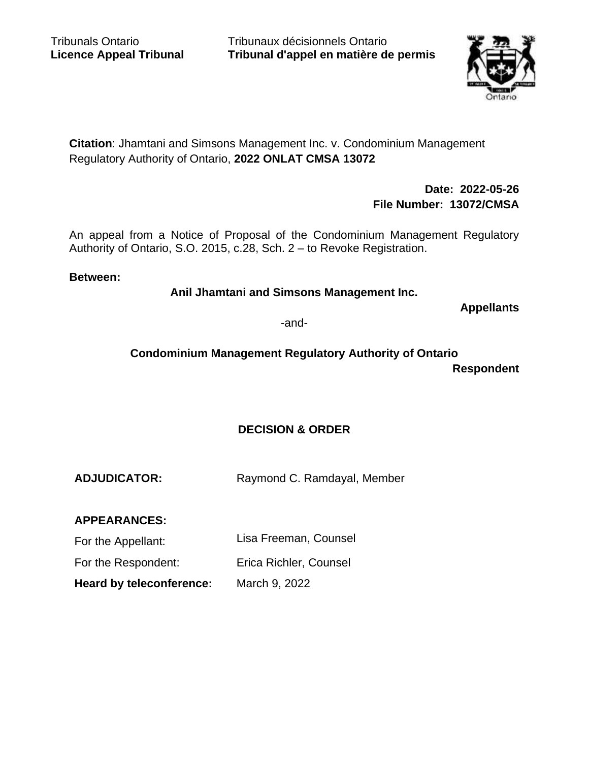Tribunaux décisionnels Ontario **Tribunal d'appel en matière de permis**



**Citation**: Jhamtani and Simsons Management Inc. v. Condominium Management Regulatory Authority of Ontario, **2022 ONLAT CMSA 13072**

> **Date: 2022-05-26 File Number: 13072/CMSA**

An appeal from a Notice of Proposal of the Condominium Management Regulatory Authority of Ontario, S.O. 2015, c.28, Sch. 2 – to Revoke Registration.

#### **Between:**

**Anil Jhamtani and Simsons Management Inc.**

**Appellants**

-and-

# **Condominium Management Regulatory Authority of Ontario Respondent**

## **DECISION & ORDER**

**ADJUDICATOR:** Raymond C. Ramdayal, Member

**APPEARANCES:**

For the Appellant: Lisa Freeman, Counsel

For the Respondent: Erica Richler, Counsel

**Heard by teleconference:** March 9, 2022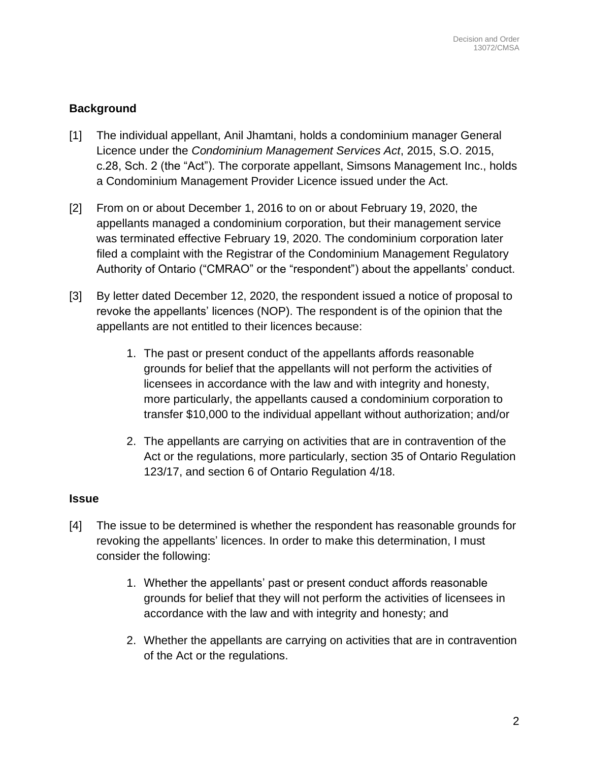# **Background**

- [1] The individual appellant, Anil Jhamtani, holds a condominium manager General Licence under the *Condominium Management Services Act*, 2015, S.O. 2015, c.28, Sch. 2 (the "Act"). The corporate appellant, Simsons Management Inc., holds a Condominium Management Provider Licence issued under the Act.
- [2] From on or about December 1, 2016 to on or about February 19, 2020, the appellants managed a condominium corporation, but their management service was terminated effective February 19, 2020. The condominium corporation later filed a complaint with the Registrar of the Condominium Management Regulatory Authority of Ontario ("CMRAO" or the "respondent") about the appellants' conduct.
- [3] By letter dated December 12, 2020, the respondent issued a notice of proposal to revoke the appellants' licences (NOP). The respondent is of the opinion that the appellants are not entitled to their licences because:
	- 1. The past or present conduct of the appellants affords reasonable grounds for belief that the appellants will not perform the activities of licensees in accordance with the law and with integrity and honesty, more particularly, the appellants caused a condominium corporation to transfer \$10,000 to the individual appellant without authorization; and/or
	- 2. The appellants are carrying on activities that are in contravention of the Act or the regulations, more particularly, section 35 of Ontario Regulation 123/17, and section 6 of Ontario Regulation 4/18.

#### **Issue**

- [4] The issue to be determined is whether the respondent has reasonable grounds for revoking the appellants' licences. In order to make this determination, I must consider the following:
	- 1. Whether the appellants' past or present conduct affords reasonable grounds for belief that they will not perform the activities of licensees in accordance with the law and with integrity and honesty; and
	- 2. Whether the appellants are carrying on activities that are in contravention of the Act or the regulations.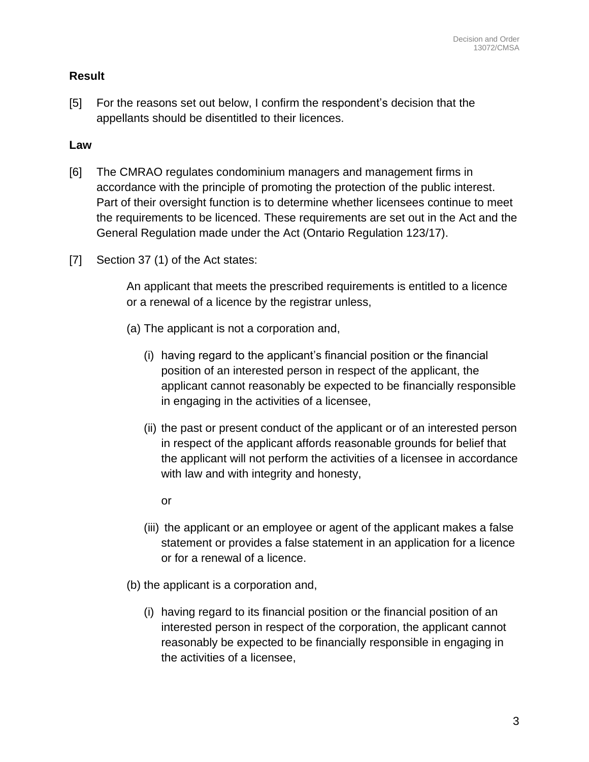## **Result**

[5] For the reasons set out below, I confirm the respondent's decision that the appellants should be disentitled to their licences.

## **Law**

- [6] The CMRAO regulates condominium managers and management firms in accordance with the principle of promoting the protection of the public interest. Part of their oversight function is to determine whether licensees continue to meet the requirements to be licenced. These requirements are set out in the Act and the General Regulation made under the Act (Ontario Regulation 123/17).
- [7] Section 37 (1) of the Act states:

An applicant that meets the prescribed requirements is entitled to a licence or a renewal of a licence by the registrar unless,

- (a) The applicant is not a corporation and,
	- (i) having regard to the applicant's financial position or the financial position of an interested person in respect of the applicant, the applicant cannot reasonably be expected to be financially responsible in engaging in the activities of a licensee,
	- (ii) the past or present conduct of the applicant or of an interested person in respect of the applicant affords reasonable grounds for belief that the applicant will not perform the activities of a licensee in accordance with law and with integrity and honesty,

or

- (iii) the applicant or an employee or agent of the applicant makes a false statement or provides a false statement in an application for a licence or for a renewal of a licence.
- (b) the applicant is a corporation and,
	- (i) having regard to its financial position or the financial position of an interested person in respect of the corporation, the applicant cannot reasonably be expected to be financially responsible in engaging in the activities of a licensee,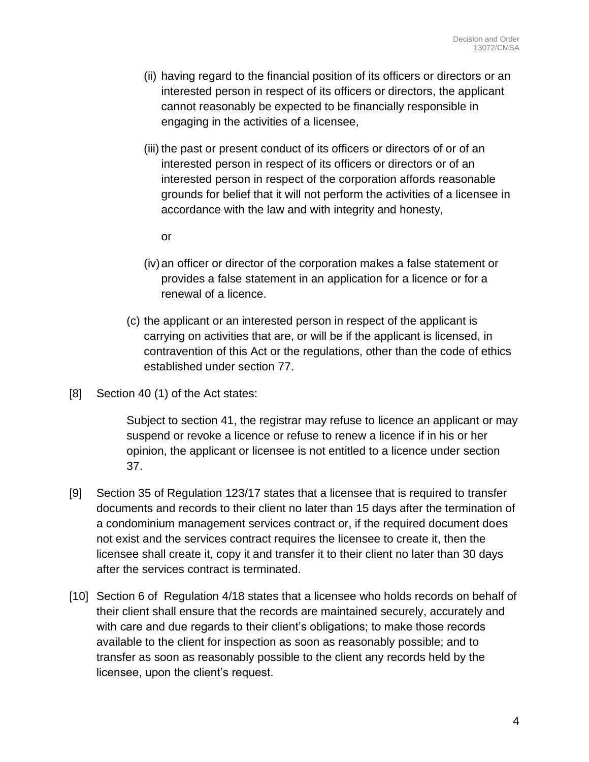- (ii) having regard to the financial position of its officers or directors or an interested person in respect of its officers or directors, the applicant cannot reasonably be expected to be financially responsible in engaging in the activities of a licensee,
- (iii) the past or present conduct of its officers or directors of or of an interested person in respect of its officers or directors or of an interested person in respect of the corporation affords reasonable grounds for belief that it will not perform the activities of a licensee in accordance with the law and with integrity and honesty,
	- or
- (iv)an officer or director of the corporation makes a false statement or provides a false statement in an application for a licence or for a renewal of a licence.
- (c) the applicant or an interested person in respect of the applicant is carrying on activities that are, or will be if the applicant is licensed, in contravention of this Act or the regulations, other than the code of ethics established under section 77.
- [8] Section 40 (1) of the Act states:

Subject to section 41, the registrar may refuse to licence an applicant or may suspend or revoke a licence or refuse to renew a licence if in his or her opinion, the applicant or licensee is not entitled to a licence under section 37.

- [9] Section 35 of Regulation 123/17 states that a licensee that is required to transfer documents and records to their client no later than 15 days after the termination of a condominium management services contract or, if the required document does not exist and the services contract requires the licensee to create it, then the licensee shall create it, copy it and transfer it to their client no later than 30 days after the services contract is terminated.
- [10] Section 6 of Regulation 4/18 states that a licensee who holds records on behalf of their client shall ensure that the records are maintained securely, accurately and with care and due regards to their client's obligations; to make those records available to the client for inspection as soon as reasonably possible; and to transfer as soon as reasonably possible to the client any records held by the licensee, upon the client's request.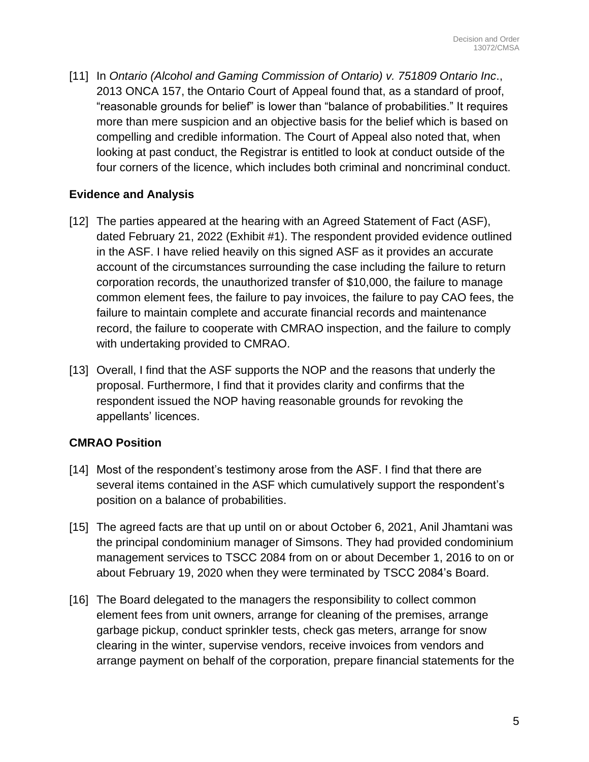[11] In *Ontario (Alcohol and Gaming Commission of Ontario) v. 751809 Ontario Inc*., 2013 ONCA 157, the Ontario Court of Appeal found that, as a standard of proof, "reasonable grounds for belief" is lower than "balance of probabilities." It requires more than mere suspicion and an objective basis for the belief which is based on compelling and credible information. The Court of Appeal also noted that, when looking at past conduct, the Registrar is entitled to look at conduct outside of the four corners of the licence, which includes both criminal and noncriminal conduct.

# **Evidence and Analysis**

- [12] The parties appeared at the hearing with an Agreed Statement of Fact (ASF), dated February 21, 2022 (Exhibit #1). The respondent provided evidence outlined in the ASF. I have relied heavily on this signed ASF as it provides an accurate account of the circumstances surrounding the case including the failure to return corporation records, the unauthorized transfer of \$10,000, the failure to manage common element fees, the failure to pay invoices, the failure to pay CAO fees, the failure to maintain complete and accurate financial records and maintenance record, the failure to cooperate with CMRAO inspection, and the failure to comply with undertaking provided to CMRAO.
- [13] Overall, I find that the ASF supports the NOP and the reasons that underly the proposal. Furthermore, I find that it provides clarity and confirms that the respondent issued the NOP having reasonable grounds for revoking the appellants' licences.

## **CMRAO Position**

- [14] Most of the respondent's testimony arose from the ASF. I find that there are several items contained in the ASF which cumulatively support the respondent's position on a balance of probabilities.
- [15] The agreed facts are that up until on or about October 6, 2021, Anil Jhamtani was the principal condominium manager of Simsons. They had provided condominium management services to TSCC 2084 from on or about December 1, 2016 to on or about February 19, 2020 when they were terminated by TSCC 2084's Board.
- [16] The Board delegated to the managers the responsibility to collect common element fees from unit owners, arrange for cleaning of the premises, arrange garbage pickup, conduct sprinkler tests, check gas meters, arrange for snow clearing in the winter, supervise vendors, receive invoices from vendors and arrange payment on behalf of the corporation, prepare financial statements for the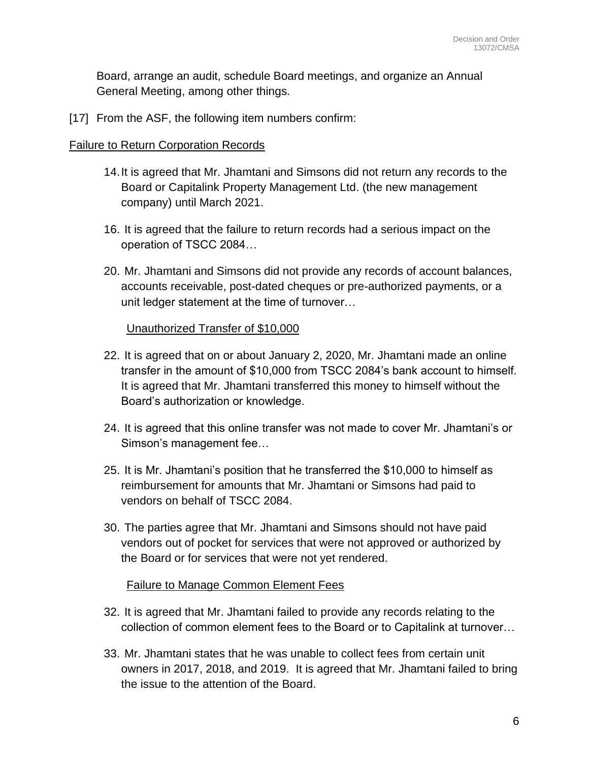Board, arrange an audit, schedule Board meetings, and organize an Annual General Meeting, among other things.

[17] From the ASF, the following item numbers confirm:

### Failure to Return Corporation Records

- 14.It is agreed that Mr. Jhamtani and Simsons did not return any records to the Board or Capitalink Property Management Ltd. (the new management company) until March 2021.
- 16. It is agreed that the failure to return records had a serious impact on the operation of TSCC 2084…
- 20. Mr. Jhamtani and Simsons did not provide any records of account balances, accounts receivable, post-dated cheques or pre-authorized payments, or a unit ledger statement at the time of turnover…

### Unauthorized Transfer of \$10,000

- 22. It is agreed that on or about January 2, 2020, Mr. Jhamtani made an online transfer in the amount of \$10,000 from TSCC 2084's bank account to himself. It is agreed that Mr. Jhamtani transferred this money to himself without the Board's authorization or knowledge.
- 24. It is agreed that this online transfer was not made to cover Mr. Jhamtani's or Simson's management fee…
- 25. It is Mr. Jhamtani's position that he transferred the \$10,000 to himself as reimbursement for amounts that Mr. Jhamtani or Simsons had paid to vendors on behalf of TSCC 2084.
- 30. The parties agree that Mr. Jhamtani and Simsons should not have paid vendors out of pocket for services that were not approved or authorized by the Board or for services that were not yet rendered.

#### Failure to Manage Common Element Fees

- 32. It is agreed that Mr. Jhamtani failed to provide any records relating to the collection of common element fees to the Board or to Capitalink at turnover…
- 33. Mr. Jhamtani states that he was unable to collect fees from certain unit owners in 2017, 2018, and 2019. It is agreed that Mr. Jhamtani failed to bring the issue to the attention of the Board.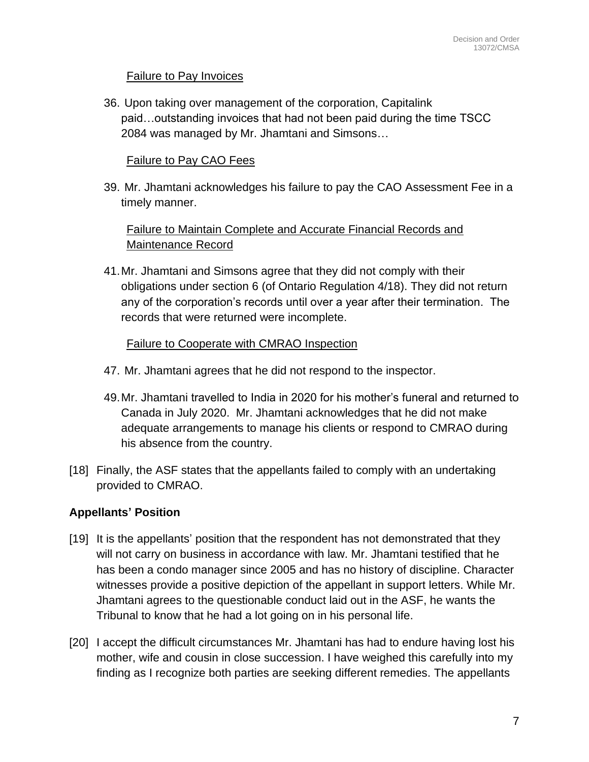## Failure to Pay Invoices

36. Upon taking over management of the corporation, Capitalink paid…outstanding invoices that had not been paid during the time TSCC 2084 was managed by Mr. Jhamtani and Simsons…

### Failure to Pay CAO Fees

39. Mr. Jhamtani acknowledges his failure to pay the CAO Assessment Fee in a timely manner.

# Failure to Maintain Complete and Accurate Financial Records and Maintenance Record

41.Mr. Jhamtani and Simsons agree that they did not comply with their obligations under section 6 (of Ontario Regulation 4/18). They did not return any of the corporation's records until over a year after their termination. The records that were returned were incomplete.

### Failure to Cooperate with CMRAO Inspection

- 47. Mr. Jhamtani agrees that he did not respond to the inspector.
- 49.Mr. Jhamtani travelled to India in 2020 for his mother's funeral and returned to Canada in July 2020. Mr. Jhamtani acknowledges that he did not make adequate arrangements to manage his clients or respond to CMRAO during his absence from the country.
- [18] Finally, the ASF states that the appellants failed to comply with an undertaking provided to CMRAO.

## **Appellants' Position**

- [19] It is the appellants' position that the respondent has not demonstrated that they will not carry on business in accordance with law. Mr. Jhamtani testified that he has been a condo manager since 2005 and has no history of discipline. Character witnesses provide a positive depiction of the appellant in support letters. While Mr. Jhamtani agrees to the questionable conduct laid out in the ASF, he wants the Tribunal to know that he had a lot going on in his personal life.
- [20] I accept the difficult circumstances Mr. Jhamtani has had to endure having lost his mother, wife and cousin in close succession. I have weighed this carefully into my finding as I recognize both parties are seeking different remedies. The appellants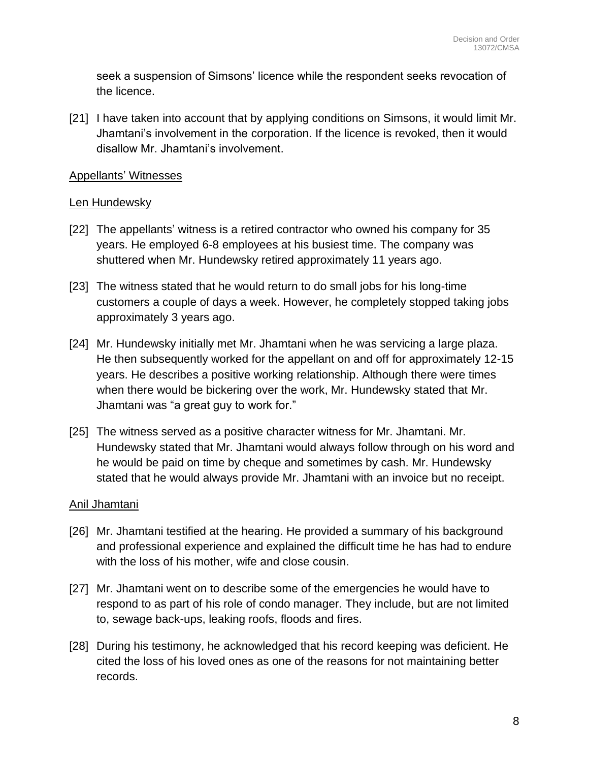seek a suspension of Simsons' licence while the respondent seeks revocation of the licence.

[21] I have taken into account that by applying conditions on Simsons, it would limit Mr. Jhamtani's involvement in the corporation. If the licence is revoked, then it would disallow Mr. Jhamtani's involvement.

#### Appellants' Witnesses

### Len Hundewsky

- [22] The appellants' witness is a retired contractor who owned his company for 35 years. He employed 6-8 employees at his busiest time. The company was shuttered when Mr. Hundewsky retired approximately 11 years ago.
- [23] The witness stated that he would return to do small jobs for his long-time customers a couple of days a week. However, he completely stopped taking jobs approximately 3 years ago.
- [24] Mr. Hundewsky initially met Mr. Jhamtani when he was servicing a large plaza. He then subsequently worked for the appellant on and off for approximately 12-15 years. He describes a positive working relationship. Although there were times when there would be bickering over the work, Mr. Hundewsky stated that Mr. Jhamtani was "a great guy to work for."
- [25] The witness served as a positive character witness for Mr. Jhamtani. Mr. Hundewsky stated that Mr. Jhamtani would always follow through on his word and he would be paid on time by cheque and sometimes by cash. Mr. Hundewsky stated that he would always provide Mr. Jhamtani with an invoice but no receipt.

## Anil Jhamtani

- [26] Mr. Jhamtani testified at the hearing. He provided a summary of his background and professional experience and explained the difficult time he has had to endure with the loss of his mother, wife and close cousin.
- [27] Mr. Jhamtani went on to describe some of the emergencies he would have to respond to as part of his role of condo manager. They include, but are not limited to, sewage back-ups, leaking roofs, floods and fires.
- [28] During his testimony, he acknowledged that his record keeping was deficient. He cited the loss of his loved ones as one of the reasons for not maintaining better records.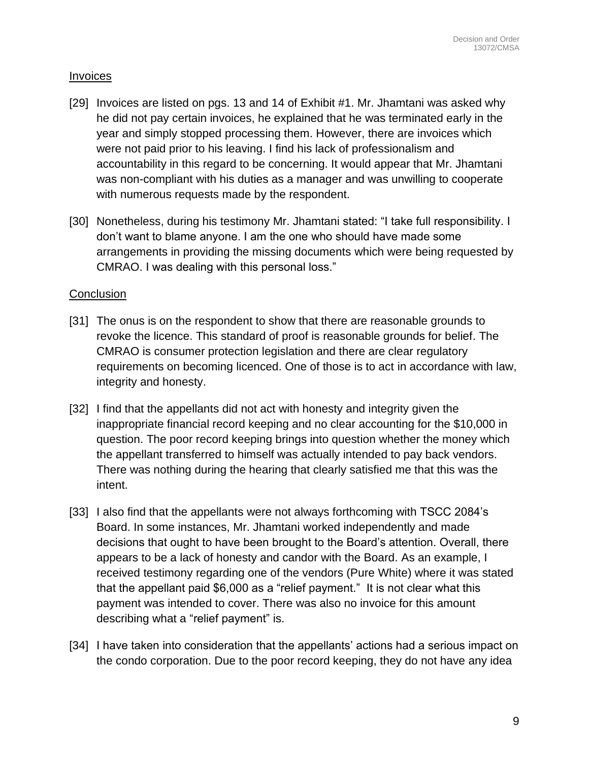#### Invoices

- [29] Invoices are listed on pgs. 13 and 14 of Exhibit #1. Mr. Jhamtani was asked why he did not pay certain invoices, he explained that he was terminated early in the year and simply stopped processing them. However, there are invoices which were not paid prior to his leaving. I find his lack of professionalism and accountability in this regard to be concerning. It would appear that Mr. Jhamtani was non-compliant with his duties as a manager and was unwilling to cooperate with numerous requests made by the respondent.
- [30] Nonetheless, during his testimony Mr. Jhamtani stated: "I take full responsibility. I don't want to blame anyone. I am the one who should have made some arrangements in providing the missing documents which were being requested by CMRAO. I was dealing with this personal loss."

### **Conclusion**

- [31] The onus is on the respondent to show that there are reasonable grounds to revoke the licence. This standard of proof is reasonable grounds for belief. The CMRAO is consumer protection legislation and there are clear regulatory requirements on becoming licenced. One of those is to act in accordance with law, integrity and honesty.
- [32] I find that the appellants did not act with honesty and integrity given the inappropriate financial record keeping and no clear accounting for the \$10,000 in question. The poor record keeping brings into question whether the money which the appellant transferred to himself was actually intended to pay back vendors. There was nothing during the hearing that clearly satisfied me that this was the intent.
- [33] I also find that the appellants were not always forthcoming with TSCC 2084's Board. In some instances, Mr. Jhamtani worked independently and made decisions that ought to have been brought to the Board's attention. Overall, there appears to be a lack of honesty and candor with the Board. As an example, I received testimony regarding one of the vendors (Pure White) where it was stated that the appellant paid \$6,000 as a "relief payment." It is not clear what this payment was intended to cover. There was also no invoice for this amount describing what a "relief payment" is.
- [34] I have taken into consideration that the appellants' actions had a serious impact on the condo corporation. Due to the poor record keeping, they do not have any idea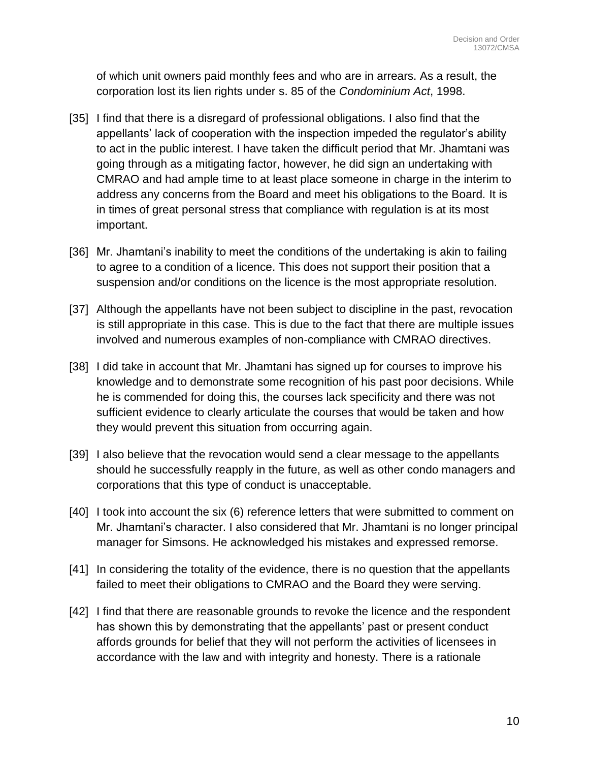of which unit owners paid monthly fees and who are in arrears. As a result, the corporation lost its lien rights under s. 85 of the *Condominium Act*, 1998.

- [35] I find that there is a disregard of professional obligations. I also find that the appellants' lack of cooperation with the inspection impeded the regulator's ability to act in the public interest. I have taken the difficult period that Mr. Jhamtani was going through as a mitigating factor, however, he did sign an undertaking with CMRAO and had ample time to at least place someone in charge in the interim to address any concerns from the Board and meet his obligations to the Board. It is in times of great personal stress that compliance with regulation is at its most important.
- [36] Mr. Jhamtani's inability to meet the conditions of the undertaking is akin to failing to agree to a condition of a licence. This does not support their position that a suspension and/or conditions on the licence is the most appropriate resolution.
- [37] Although the appellants have not been subject to discipline in the past, revocation is still appropriate in this case. This is due to the fact that there are multiple issues involved and numerous examples of non-compliance with CMRAO directives.
- [38] I did take in account that Mr. Jhamtani has signed up for courses to improve his knowledge and to demonstrate some recognition of his past poor decisions. While he is commended for doing this, the courses lack specificity and there was not sufficient evidence to clearly articulate the courses that would be taken and how they would prevent this situation from occurring again.
- [39] I also believe that the revocation would send a clear message to the appellants should he successfully reapply in the future, as well as other condo managers and corporations that this type of conduct is unacceptable.
- [40] I took into account the six (6) reference letters that were submitted to comment on Mr. Jhamtani's character. I also considered that Mr. Jhamtani is no longer principal manager for Simsons. He acknowledged his mistakes and expressed remorse.
- [41] In considering the totality of the evidence, there is no question that the appellants failed to meet their obligations to CMRAO and the Board they were serving.
- [42] I find that there are reasonable grounds to revoke the licence and the respondent has shown this by demonstrating that the appellants' past or present conduct affords grounds for belief that they will not perform the activities of licensees in accordance with the law and with integrity and honesty. There is a rationale